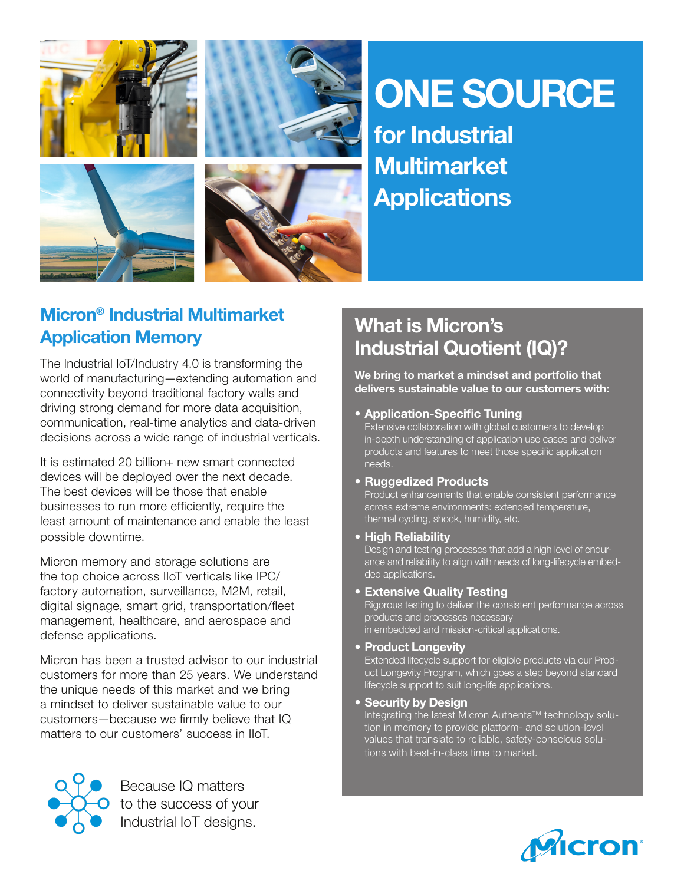

# ONE SOURCE

for Industrial **Multimarket Applications** 

### Micron® Industrial Multimarket Application Memory

The Industrial IoT/Industry 4.0 is transforming the world of manufacturing—extending automation and connectivity beyond traditional factory walls and driving strong demand for more data acquisition, communication, real-time analytics and data-driven decisions across a wide range of industrial verticals.

It is estimated 20 billion+ new smart connected devices will be deployed over the next decade. The best devices will be those that enable businesses to run more efficiently, require the least amount of maintenance and enable the least possible downtime.

Micron memory and storage solutions are the top choice across IIoT verticals like IPC/ factory automation, surveillance, M2M, retail, digital signage, smart grid, transportation/fleet management, healthcare, and aerospace and defense applications.

Micron has been a trusted advisor to our industrial customers for more than 25 years. We understand the unique needs of this market and we bring a mindset to deliver sustainable value to our customers—because we firmly believe that IQ matters to our customers' success in IIoT.



Because IQ matters to the success of your Industrial IoT designs.

# What is Micron's Industrial Quotient (IQ)?

We bring to market a mindset and portfolio that delivers sustainable value to our customers with:

• Application-Specific Tuning

Extensive collaboration with global customers to develop in-depth understanding of application use cases and deliver products and features to meet those specific application needs.

• Ruggedized Products

Product enhancements that enable consistent performance across extreme environments: extended temperature, thermal cycling, shock, humidity, etc.

• High Reliability<br>Design and testing processes that add a high level of endurance and reliability to align with needs of long-lifecycle embedded applications.

• Extensive Quality Testing<br>Rigorous testing to deliver the consistent performance across products and processes necessary in embedded and mission-critical applications.

• Product Longevity

Extended lifecycle support for eligible products via our Product Longevity Program, which goes a step beyond standard lifecycle support to suit long-life applications.

• Security by Design

Integrating the latest Micron Authenta™ technology solution in memory to provide platform- and solution-level values that translate to reliable, safety-conscious solutions with best-in-class time to market.